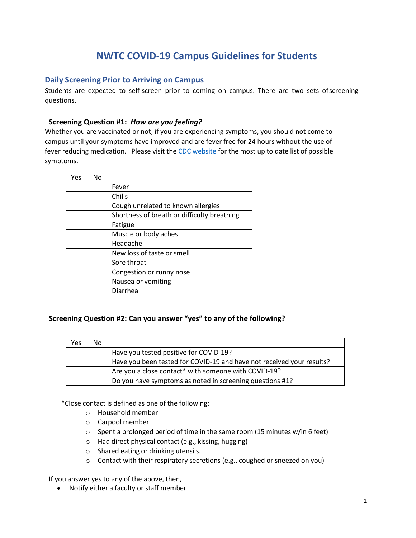# **NWTC COVID-19 Campus Guidelines for Students**

## **Daily Screening Prior to Arriving on Campus**

Students are expected to self-screen prior to coming on campus. There are two sets ofscreening questions.

#### **Screening Question #1:** *How are you feeling?*

Whether you are vaccinated or not, if you are experiencing symptoms, you should not come to campus until your symptoms have improved and are fever free for 24 hours without the use of fever reducing medication. Please visit the CDC [website](https://www.cdc.gov/coronavirus/2019-ncov/symptoms-testing/symptoms.html) for the most up to date list of possible symptoms.

| Yes | No. |                                             |
|-----|-----|---------------------------------------------|
|     |     | Fever                                       |
|     |     | Chills                                      |
|     |     | Cough unrelated to known allergies          |
|     |     | Shortness of breath or difficulty breathing |
|     |     | Fatigue                                     |
|     |     | Muscle or body aches                        |
|     |     | Headache                                    |
|     |     | New loss of taste or smell                  |
|     |     | Sore throat                                 |
|     |     | Congestion or runny nose                    |
|     |     | Nausea or vomiting                          |
|     |     | Diarrhea                                    |

#### **Screening Question #2: Can you answer "yes" to any of the following?**

| Yes | No |                                                                       |
|-----|----|-----------------------------------------------------------------------|
|     |    | Have you tested positive for COVID-19?                                |
|     |    | Have you been tested for COVID-19 and have not received your results? |
|     |    | Are you a close contact* with someone with COVID-19?                  |
|     |    | Do you have symptoms as noted in screening questions #1?              |

\*Close contact is defined as one of the following:

- o Household member
- o Carpool member
- $\circ$  Spent a prolonged period of time in the same room (15 minutes w/in 6 feet)
- o Had direct physical contact (e.g., kissing, hugging)
- o Shared eating or drinking utensils.
- o Contact with their respiratory secretions (e.g., coughed or sneezed on you)

If you answer yes to any of the above, then,

• Notify either a faculty or staff member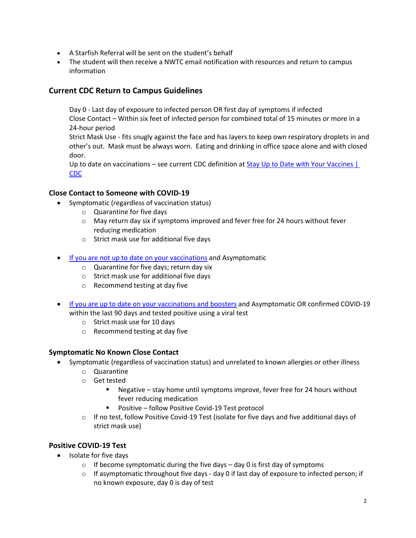- A Starfish Referral will be sent on the student's behalf
- The student will then receive a NWTC email notification with resources and return to campus information

# **[Current CDC Return to Campus Guidelines](https://www.cdc.gov/coronavirus/2019-ncov/your-health/quarantine-isolation.html)**

Day 0 - Last day of exposure to infected person OR first day of symptoms if infected Close Contact – Within six feet of infected person for combined total of 15 minutes or more in a 24-hour period Strict Mask Use - fits snugly against the face and has layers to keep own respiratory droplets in and

other's out. Mask must be always worn. Eating and drinking in office space alone and with closed door.

Up to date on vaccinations – see current CDC definition at [Stay Up to Date with Your Vaccines |](https://www.cdc.gov/coronavirus/2019-ncov/vaccines/stay-up-to-date.html)  [CDC](https://www.cdc.gov/coronavirus/2019-ncov/vaccines/stay-up-to-date.html)

#### **Close Contact to Someone with COVID-19**

- Symptomatic (regardless of vaccination status)
	- o Quarantine for five days
	- $\circ$  May return day six if symptoms improved and fever free for 24 hours without fever reducing medication
	- o Strict mask use for additional five days
- [If you are not up to date on your vaccinations](https://www.cdc.gov/coronavirus/2019-ncov/vaccines/stay-up-to-date.html) and Asymptomatic
	- o Quarantine for five days; return day six
	- o Strict mask use for additional five days
	- o Recommend testing at day five
- [If you are up to date on your vaccinations and boosters](https://www.cdc.gov/coronavirus/2019-ncov/vaccines/stay-up-to-date.html) and Asymptomatic OR confirmed COVID-19 within the last 90 days and tested positive using a viral test
	- o Strict mask use for 10 days
	- o Recommend testing at day five

## **Symptomatic No Known Close Contact**

- Symptomatic (regardless of vaccination status) and unrelated to known allergies or other illness
	- o Quarantine
	- o Get tested
		- Negative stay home until symptoms improve, fever free for 24 hours without fever reducing medication
		- Positive follow Positive Covid-19 Test protocol
	- $\circ$  If no test, follow Positive Covid-19 Test (isolate for five days and five additional days of strict mask use)

## **Positive COVID-19 Test**

- Isolate for five days
	- $\circ$  If become symptomatic during the five days day 0 is first day of symptoms
	- $\circ$  If asymptomatic throughout five days day 0 if last day of exposure to infected person; if no known exposure, day 0 is day of test